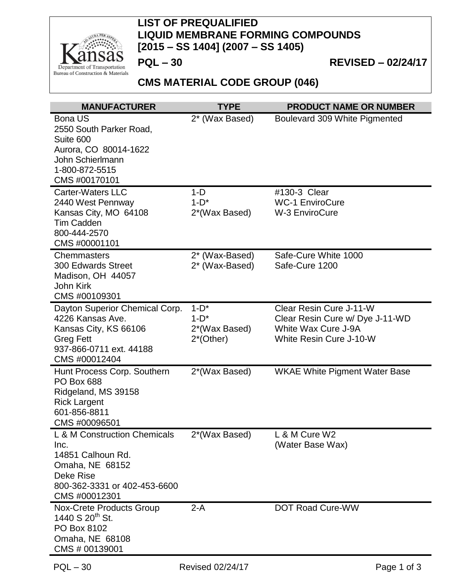

## **LIST OF PREQUALIFIED LIQUID MEMBRANE FORMING COMPOUNDS [2015 – SS 1404] (2007 – SS 1405)**

**PQL – 30 REVISED – 02/24/17**

## **CMS MATERIAL CODE GROUP (046)**

| <b>MANUFACTURER</b>                                                                                                                               | <b>TYPE</b>                                        | <b>PRODUCT NAME OR NUMBER</b>                                                                                |
|---------------------------------------------------------------------------------------------------------------------------------------------------|----------------------------------------------------|--------------------------------------------------------------------------------------------------------------|
| <b>Bona US</b><br>2550 South Parker Road,<br>Suite 600<br>Aurora, CO 80014-1622<br>John Schierlmann<br>1-800-872-5515<br>CMS #00170101            | 2* (Wax Based)                                     | Boulevard 309 White Pigmented                                                                                |
| <b>Carter-Waters LLC</b><br>2440 West Pennway<br>Kansas City, MO 64108<br><b>Tim Cadden</b><br>800-444-2570<br>CMS #00001101                      | $1-D$<br>$1-D^*$<br>2*(Wax Based)                  | #130-3 Clear<br><b>WC-1 EnviroCure</b><br><b>W-3 EnviroCure</b>                                              |
| <b>Chemmasters</b><br><b>300 Edwards Street</b><br>Madison, OH 44057<br>John Kirk<br>CMS #00109301                                                | 2* (Wax-Based)<br>2* (Wax-Based)                   | Safe-Cure White 1000<br>Safe-Cure 1200                                                                       |
| Dayton Superior Chemical Corp.<br>4226 Kansas Ave.<br>Kansas City, KS 66106<br><b>Greg Fett</b><br>937-866-0711 ext. 44188<br>CMS #00012404       | $1-D^*$<br>$1-D^*$<br>2*(Wax Based)<br>$2*(Other)$ | Clear Resin Cure J-11-W<br>Clear Resin Cure w/ Dye J-11-WD<br>White Wax Cure J-9A<br>White Resin Cure J-10-W |
| Hunt Process Corp. Southern<br><b>PO Box 688</b><br>Ridgeland, MS 39158<br><b>Rick Largent</b><br>601-856-8811<br>CMS #00096501                   | 2*(Wax Based)                                      | <b>WKAE White Pigment Water Base</b>                                                                         |
| L & M Construction Chemicals<br>Inc.<br>14851 Calhoun Rd.<br>Omaha, NE 68152<br><b>Deke Rise</b><br>800-362-3331 or 402-453-6600<br>CMS #00012301 | 2 <sup>*</sup> (Wax Based)                         | L & M Cure W2<br>(Water Base Wax)                                                                            |
| Nox-Crete Products Group<br>1440 S 20 <sup>th</sup> St.<br>PO Box 8102<br>Omaha, NE 68108<br>CMS # 00139001                                       | $2-A$                                              | <b>DOT Road Cure-WW</b>                                                                                      |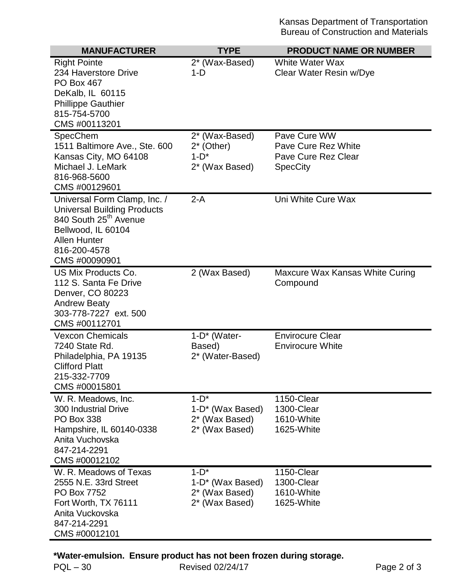| <b>MANUFACTURER</b>                         | <b>TYPE</b>                  | <b>PRODUCT NAME OR NUMBER</b>   |
|---------------------------------------------|------------------------------|---------------------------------|
| <b>Right Pointe</b>                         | 2* (Wax-Based)               | White Water Wax                 |
| 234 Haverstore Drive                        | $1-D$                        | Clear Water Resin w/Dye         |
| <b>PO Box 467</b>                           |                              |                                 |
| DeKalb, IL 60115                            |                              |                                 |
| <b>Phillippe Gauthier</b><br>815-754-5700   |                              |                                 |
| CMS #00113201                               |                              |                                 |
| SpecChem                                    | 2* (Wax-Based)               | Pave Cure WW                    |
| 1511 Baltimore Ave., Ste. 600               | $2^*$ (Other)                | Pave Cure Rez White             |
| Kansas City, MO 64108                       | $1-D^*$                      | Pave Cure Rez Clear             |
| Michael J. LeMark                           | 2* (Wax Based)               | <b>SpecCity</b>                 |
| 816-968-5600                                |                              |                                 |
| CMS #00129601                               |                              |                                 |
| Universal Form Clamp, Inc. /                | $2-A$                        | Uni White Cure Wax              |
| <b>Universal Building Products</b>          |                              |                                 |
| 840 South 25 <sup>th</sup> Avenue           |                              |                                 |
| Bellwood, IL 60104<br><b>Allen Hunter</b>   |                              |                                 |
| 816-200-4578                                |                              |                                 |
| CMS #00090901                               |                              |                                 |
| US Mix Products Co.                         | 2 (Wax Based)                | Maxcure Wax Kansas White Curing |
| 112 S. Santa Fe Drive                       |                              | Compound                        |
| Denver, CO 80223                            |                              |                                 |
| <b>Andrew Beaty</b>                         |                              |                                 |
| 303-778-7227 ext. 500<br>CMS #00112701      |                              |                                 |
| <b>Vexcon Chemicals</b>                     |                              | <b>Envirocure Clear</b>         |
| 7240 State Rd.                              | 1-D* (Water-<br>Based)       | <b>Envirocure White</b>         |
| Philadelphia, PA 19135                      | 2* (Water-Based)             |                                 |
| <b>Clifford Platt</b>                       |                              |                                 |
| 215-332-7709                                |                              |                                 |
| CMS #00015801                               |                              |                                 |
| W. R. Meadows, Inc.                         | $1-D^*$                      | 1150-Clear                      |
| <b>300 Industrial Drive</b>                 | 1-D* (Wax Based)             | 1300-Clear                      |
| <b>PO Box 338</b>                           | 2* (Wax Based)               | 1610-White                      |
| Hampshire, IL 60140-0338<br>Anita Vuchovska | 2* (Wax Based)               | 1625-White                      |
| 847-214-2291                                |                              |                                 |
| CMS #00012102                               |                              |                                 |
| W. R. Meadows of Texas                      | $1-D^*$                      | 1150-Clear                      |
| 2555 N.E. 33rd Street                       | 1-D <sup>*</sup> (Wax Based) | 1300-Clear                      |
| PO Box 7752                                 | 2* (Wax Based)               | 1610-White                      |
| Fort Worth, TX 76111                        | 2* (Wax Based)               | 1625-White                      |
| Anita Vuckovska                             |                              |                                 |
| 847-214-2291                                |                              |                                 |
| CMS #00012101                               |                              |                                 |